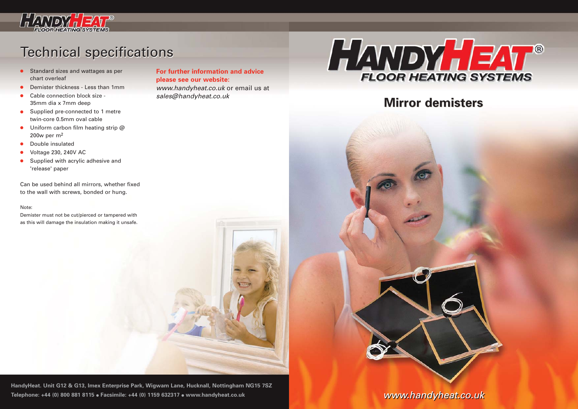

## **Technical specifications**

- Standard sizes and wattages as per chart overleaf
- Demister thickness Less than 1mm
- Cable connection block size -35mm dia x 7mm deep
- Supplied pre-connected to 1 metre twin-core 0.5mm oval cable
- Uniform carbon film heating strip @ 200w per m2
- Double insulated
- Voltage 230, 240V AC
- Supplied with acrylic adhesive and 'release' paper

Can be used behind all mirrors, whether fixed to the wall with screws, bonded or hung.

## Note:

Demister must not be cut/pierced or tampered with as this will damage the insulation making it unsafe. **For further information and advice please see our website:**

www.handyheat.co.uk or email us at sales@handyheat.co.uk



## **Mirror demisters Mirror demisters**



**HandyHeat. Unit G12 & G13, Imex Enterprise Park, Wigwam Lane, Hucknall, Nottingham NG15 7SZ Telephone: +44 (0) 800 881 8115** ● **Facsimile: +44 (0) 1159 632317** ● **www.handyheat.co.uk** 

www.handyheat.co.uk